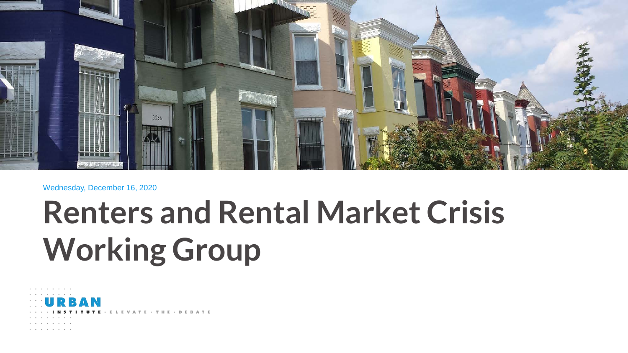

#### Wednesday, December 16, 2020

# **Renters and Rental Market Crisis Working Group**

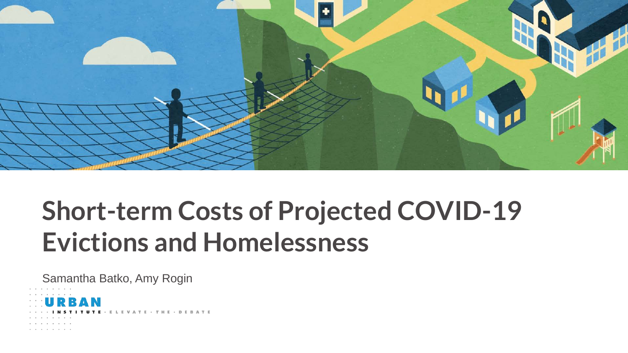

## **Short-term Costs of Projected COVID-19 Evictions and Homelessness**

Samantha Batko, Amy Rogin

ELEVATE · THE · DEBATE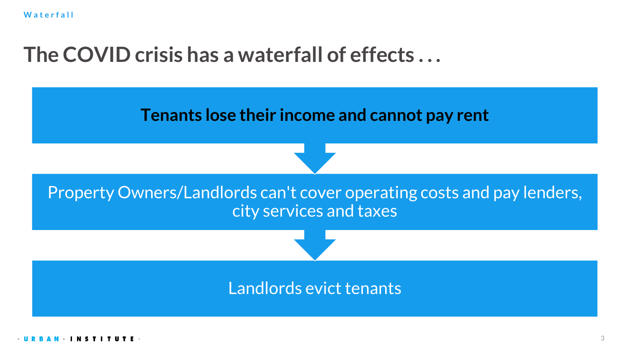## **The COVID crisis has a waterfall of effects . . .**

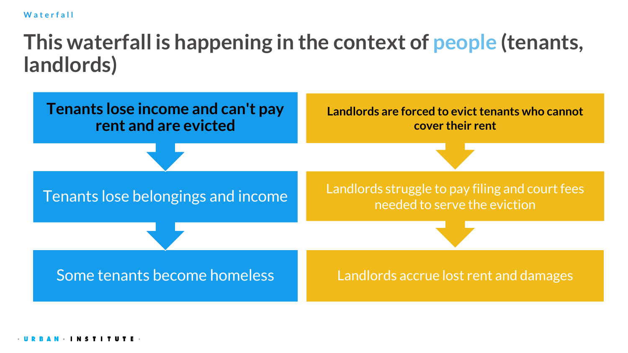**Waterfall**

## **This waterfall is happening in the context of people (tenants, landlords)**

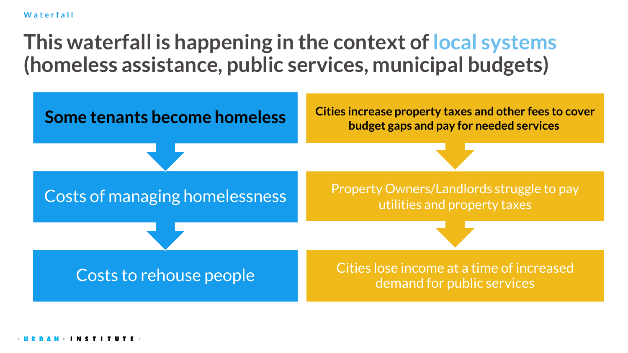**Waterfall**

## **This waterfall is happening in the context of local systems (homeless assistance, public services, municipal budgets)**

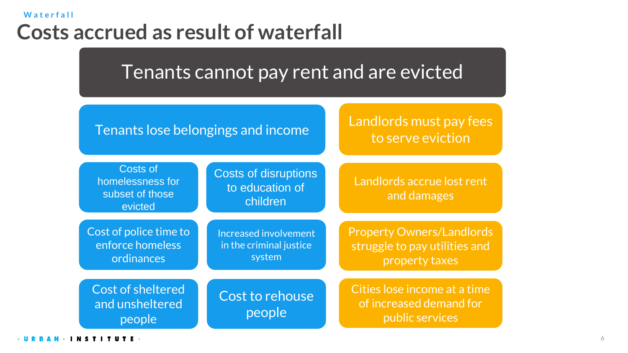### **Costs accrued as result of waterfall Waterfall**

Tenants cannot pay rent and are evicted



Landlords must pay fees to serve eviction

Landlords accrue lost rent

and damages

Costs of homelessness for subset of those evicted

Cost of police time to enforce homeless ordinances

Cost of sheltered and unsheltered people

Costs of disruptions to education of children

Cost to rehouse

people

Property Owners/Landlords struggle to pay utilities and Increased involvement in the criminal justice system

> Cities lose income at a time of increased demand for public services

property taxes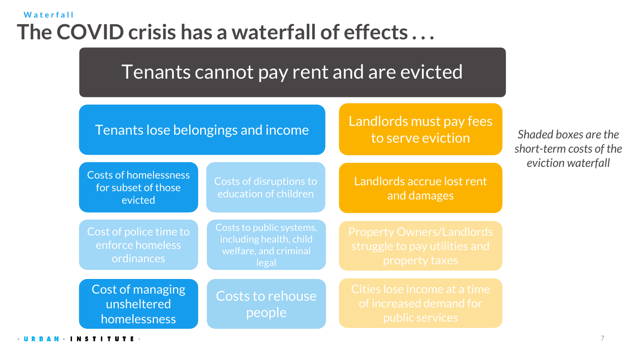### **The COVID crisis has a waterfall of effects . . . Waterfall**

Tenants cannot pay rent and are evicted

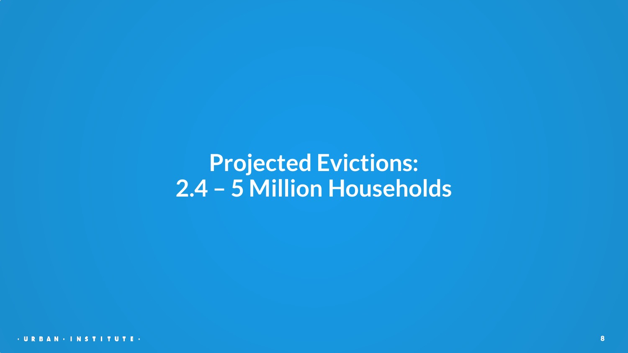## **Projected Evictions: 2.4 – 5 Million Households**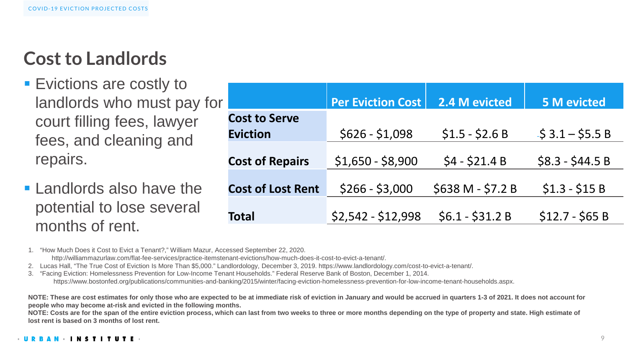## **Cost to Landlords**

- **Example 1 F** Evictions are costly to landlords who must pay for court filling fees, lawyer fees, and cleaning and repairs.
- $\blacksquare$  Landlords also have the potential to lose several months of rent.

| I۴                       | <b>Per Eviction Cost</b> | 2.4 M evicted     | <b>5 M evicted</b>          |
|--------------------------|--------------------------|-------------------|-----------------------------|
| <b>Cost to Serve</b>     |                          |                   |                             |
| <b>Eviction</b>          | $$626 - $1,098$          | $$1.5 - $2.6 B$   | $\frac{1}{5}$ 3.1 – \$5.5 B |
| <b>Cost of Repairs</b>   | $$1,650 - $8,900$        | $$4 - $21.4 B$    | $$8.3 - $44.5 B$            |
| <b>Cost of Lost Rent</b> | $$266 - $3,000$          | \$638 M - \$7.2 B | $$1.3 - $15 B$              |
| <b>Total</b>             | \$2,542 - \$12,998       | $$6.1 - $31.2 B$  | $$12.7 - $65 B$             |

1. "How Much Does it Cost to Evict a Tenant?," William Mazur, Accessed September 22, 2020.

http://williammazurlaw.com/flat-fee-services/practice-itemstenant-evictions/how-much-does-it-cost-to-evict-a-tenant/.

2. Lucas Hall, "The True Cost of Eviction Is More Than \$5,000." Landlordology, December 3, 2019. https://www.landlordology.com/cost-to-evict-a-tenant/.

3. "Facing Eviction: Homelessness Prevention for Low-Income Tenant Households." Federal Reserve Bank of Boston, December 1, 2014. https://www.bostonfed.org/publications/communities-and-banking/2015/winter/facing-eviction-homelessness-prevention-for-low-income-tenant-households.aspx.

**NOTE: These are cost estimates for only those who are expected to be at immediate risk of eviction in January and would be accrued in quarters 1-3 of 2021. It does not account for people who may become at-risk and evicted in the following months.** 

**NOTE: Costs are for the span of the entire eviction process, which can last from two weeks to three or more months depending on the type of property and state. High estimate of lost rent is based on 3 months of lost rent.**

#### **INSTIT**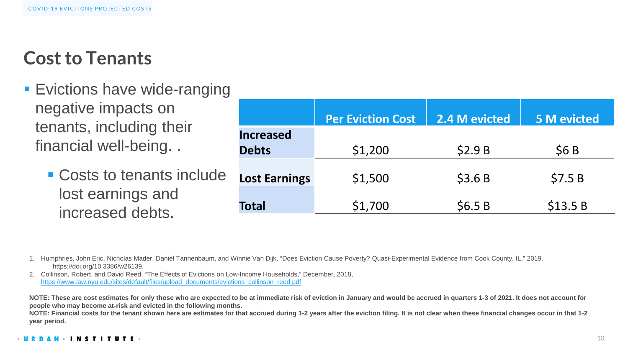### **Cost to Tenants**

- **Exictions have wide-ranging** negative impacts on tenants, including their financial well-being. .
	- **Costs to tenants include** lost earnings and increased debts.

|                      | <b>Per Eviction Cost</b> | 2.4 M evicted | <b>5 M evicted</b> |
|----------------------|--------------------------|---------------|--------------------|
| <b>Increased</b>     |                          |               |                    |
| <b>Debts</b>         | \$1,200                  | \$2.9B        | \$6B               |
| <b>Lost Earnings</b> | \$1,500                  | \$3.6B        | \$7.5B             |
|                      |                          |               |                    |
| <b>Total</b>         | \$1,700                  | \$6.5B        | \$13.5 B           |

- 1. Humphries, John Eric, Nicholas Mader, Daniel Tannenbaum, and Winnie Van Dijk. "Does Eviction Cause Poverty? Quasi-Experimental Evidence from Cook County, IL," 2019. https://doi.org/10.3386/w26139.
- 2. Collinson, Robert, and David Reed, "The Effects of Evictions on Low-Income Households," December, 2018, [https://www.law.nyu.edu/sites/default/files/upload\\_documents/evictions\\_collinson\\_reed.pdf](https://www.law.nyu.edu/sites/default/files/upload_documents/evictions_collinson_reed.pdf)

**NOTE: These are cost estimates for only those who are expected to be at immediate risk of eviction in January and would be accrued in quarters 1-3 of 2021. It does not account for people who may become at-risk and evicted in the following months.** 

**NOTE: Financial costs for the tenant shown here are estimates for that accrued during 1-2 years after the eviction filing. It is not clear when these financial changes occur in that 1-2 year period.** 

#### **INSTITUTE**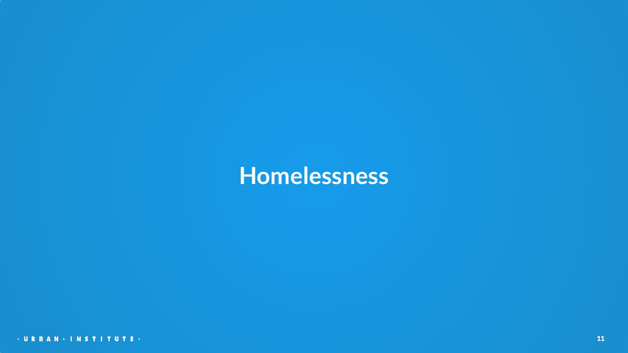## **Homelessness**

· URBAN · INSTITUTE ·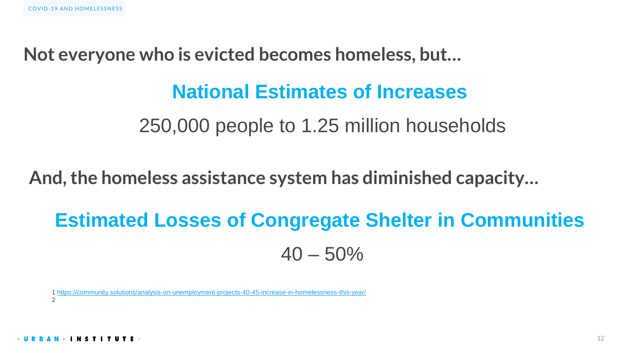**Not everyone who is evicted becomes homeless, but…**

### **National Estimates of Increases**

250,000 people to 1.25 million households

**And, the homeless assistance system has diminished capacity…**

## **Estimated Losses of Congregate Shelter in Communities**  $40 - 50\%$

1 https://community.solutions/analysis-on-unemployment-projects-40-45-increase-in-homelessness-2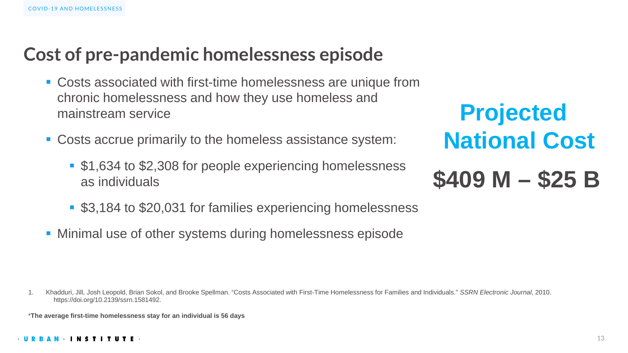### **Cost of pre-pandemic homelessness episode**

- Costs associated with first-time homelessness are unique from chronic homelessness and how they use homeless and mainstream service
- Costs accrue primarily to the homeless assistance system:
	- \$1,634 to \$2,308 for people experiencing homelessness as individuals
	- **53,184 to \$20,031 for families experiencing homelessness**
- **Minimal use of other systems during homelessness episode**

1. Khadduri, Jill, Josh Leopold, Brian Sokol, and Brooke Spellman. "Costs Associated with First-Time Homelessness for Families and Individuals." *SSRN Electronic Journal*, 2010. https://doi.org/10.2139/ssrn.1581492.

\***The average first-time homelessness stay for an individual is 56 days**

**Projected National Cost \$409 M – \$25 B**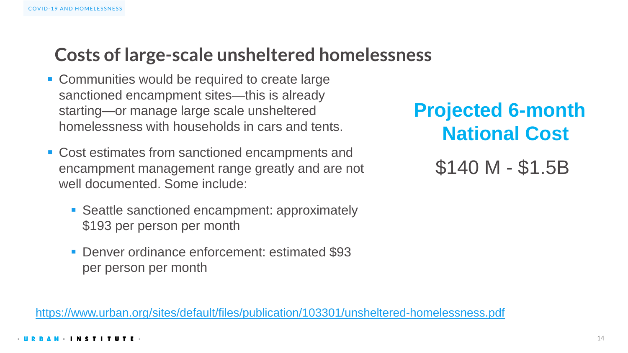### **Costs of large-scale unsheltered homelessness**

- **Communities would be required to create large** sanctioned encampment sites—this is already starting—or manage large scale unsheltered homelessness with households in cars and tents.
- Cost estimates from sanctioned encampments and encampment management range greatly and are not well documented. Some include:
	- **Seattle sanctioned encampment: approximately** \$193 per person per month
	- **Denver ordinance enforcement: estimated \$93** per person per month

<https://www.urban.org/sites/default/files/publication/103301/unsheltered-homelessness.pdf>

**Projected 6-month National Cost**

\$140 M - \$1.5B